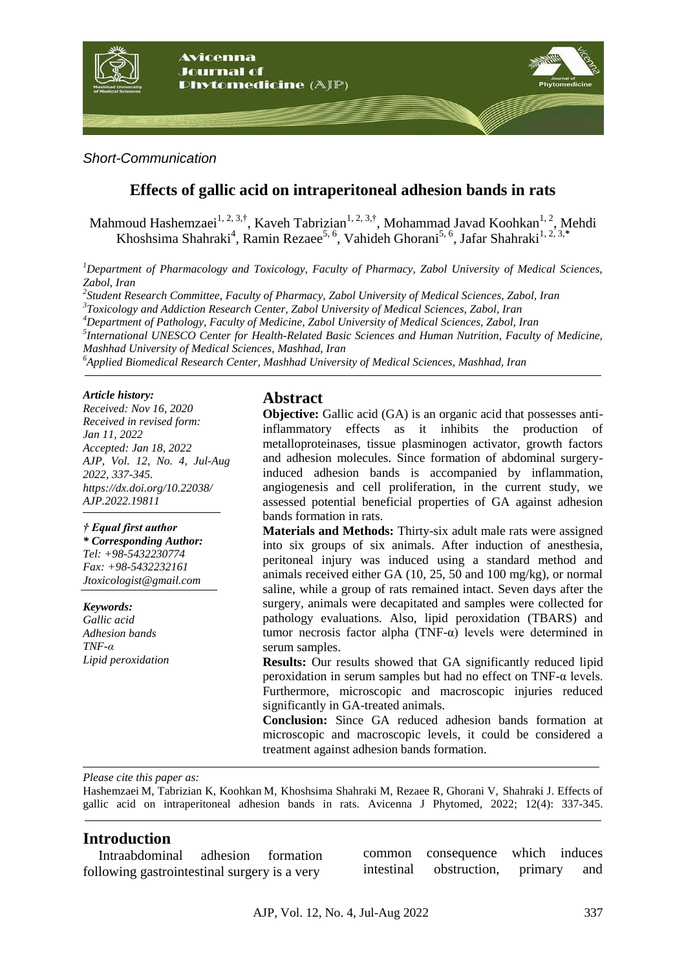

*Short-Communication*

# **Effects of gallic acid on intraperitoneal adhesion bands in rats**

Mahmoud Hashemzaei<sup>1, 2, 3,†</sup>, Kaveh Tabrizian<sup>1, 2, 3,†</sup>, Mohammad Javad Koohkan<sup>1, 2</sup>, Mehdi Khoshsima Shahraki<sup>4</sup>, Ramin Rezaee<sup>5, 6</sup>, Vahideh Ghorani<sup>5, 6</sup>, Jafar Shahraki<sup>1, 2, 3,\*</sup>

*<sup>1</sup>Department of Pharmacology and Toxicology, Faculty of Pharmacy, Zabol University of Medical Sciences, Zabol, Iran*

*2 Student Research Committee, Faculty of Pharmacy, Zabol University of Medical Sciences, Zabol, Iran*

*3 Toxicology and Addiction Research Center, Zabol University of Medical Sciences, Zabol, Iran*

*<sup>4</sup>Department of Pathology, Faculty of Medicine, Zabol University of Medical Sciences, Zabol, Iran*

*5 International UNESCO Center for Health-Related Basic Sciences and Human Nutrition, Faculty of Medicine, Mashhad University of Medical Sciences, Mashhad, Iran*

*<sup>6</sup>Applied Biomedical Research Center, Mashhad University of Medical Sciences, Mashhad, Iran*

#### *Article history:*

*Received: Nov 16, 2020 Received in revised form: Jan 11, 2022 Accepted: Jan 18, 2022 AJP, Vol. 12, No. 4, Jul-Aug 2022, 337-345. https://dx.doi.org/10.22038/ AJP.2022.19811*

### *† Equal first author*

*\* Corresponding Author: Tel: +98-5432230774 Fax: +98-5432232161 Jtoxicologist@gmail.com*

*Keywords: Gallic acid Adhesion bands TNF-α Lipid peroxidation*

## **Abstract**

**Objective:** Gallic acid (GA) is an organic acid that possesses antiinflammatory effects as it inhibits the production of metalloproteinases, tissue plasminogen activator, growth factors and adhesion molecules. Since formation of abdominal surgeryinduced adhesion bands is accompanied by inflammation, angiogenesis and cell proliferation, in the current study, we assessed potential beneficial properties of GA against adhesion bands formation in rats.

**Materials and Methods:** Thirty-six adult male rats were assigned into six groups of six animals. After induction of anesthesia, peritoneal injury was induced using a standard method and animals received either GA (10, 25, 50 and 100 mg/kg), or normal saline, while a group of rats remained intact. Seven days after the surgery, animals were decapitated and samples were collected for pathology evaluations. Also, lipid peroxidation (TBARS) and tumor necrosis factor alpha  $(TNF-\alpha)$  levels were determined in serum samples.

**Results:** Our results showed that GA significantly reduced lipid peroxidation in serum samples but had no effect on  $TNF-\alpha$  levels. Furthermore, microscopic and macroscopic injuries reduced significantly in GA-treated animals.

**Conclusion:** Since GA reduced adhesion bands formation at microscopic and macroscopic levels, it could be considered a treatment against adhesion bands formation.

*Please cite this paper as:* 

Hashemzaei M, Tabrizian K, Koohkan M, Khoshsima Shahraki M, Rezaee R, Ghorani V, Shahraki J. Effects of gallic acid on intraperitoneal adhesion bands in rats. Avicenna J Phytomed, 2022; 12(4): 337-345.

## **Introduction**

Intraabdominal adhesion formation following gastrointestinal surgery is a very

common consequence which induces intestinal obstruction, primary and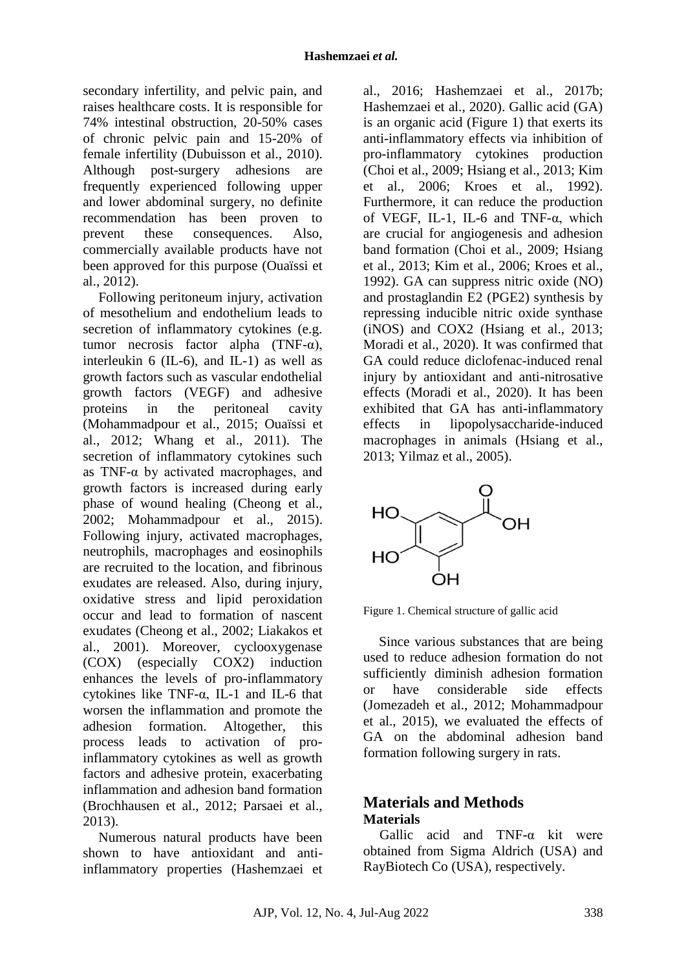secondary infertility, and pelvic pain, and raises healthcare costs. It is responsible for 74% intestinal obstruction, 20-50% cases of chronic pelvic pain and 15-20% of female infertility (Dubuisson et al., 2010). Although post-surgery adhesions are frequently experienced following upper and lower abdominal surgery, no definite recommendation has been proven to prevent these consequences. Also, commercially available products have not been approved for this purpose (Ouaïssi et al., 2012).

Following peritoneum injury, activation of mesothelium and endothelium leads to secretion of inflammatory cytokines (e.g. tumor necrosis factor alpha (TNF-α), interleukin 6 (IL-6), and IL-1) as well as growth factors such as vascular endothelial growth factors (VEGF) and adhesive proteins in the peritoneal cavity (Mohammadpour et al., 2015; Ouaïssi et al., 2012; Whang et al., 2011). The secretion of inflammatory cytokines such as  $TNF-\alpha$  by activated macrophages, and growth factors is increased during early phase of wound healing (Cheong et al., 2002; Mohammadpour et al., 2015). Following injury, activated macrophages, neutrophils, macrophages and eosinophils are recruited to the location, and fibrinous exudates are released. Also, during injury, oxidative stress and lipid peroxidation occur and lead to formation of nascent exudates (Cheong et al., 2002; Liakakos et al., 2001). Moreover, cyclooxygenase (COX) (especially COX2) induction enhances the levels of pro-inflammatory cytokines like TNF-α, IL-1 and IL-6 that worsen the inflammation and promote the adhesion formation. Altogether, this process leads to activation of proinflammatory cytokines as well as growth factors and adhesive protein, exacerbating inflammation and adhesion band formation (Brochhausen et al., 2012; Parsaei et al., 2013).

Numerous natural products have been shown to have antioxidant and antiinflammatory properties (Hashemzaei et

al., 2016; Hashemzaei et al., 2017b; Hashemzaei et al., 2020). Gallic acid (GA) is an organic acid (Figure 1) that exerts its anti-inflammatory effects via inhibition of pro-inflammatory cytokines production (Choi et al., 2009; Hsiang et al., 2013; Kim et al., 2006; Kroes et al., 1992). Furthermore, it can reduce the production of VEGF, IL-1, IL-6 and TNF-α, which are crucial for angiogenesis and adhesion band formation (Choi et al., 2009; Hsiang et al., 2013; Kim et al., 2006; Kroes et al., 1992). GA can suppress nitric oxide (NO) and prostaglandin E2 (PGE2) synthesis by repressing inducible nitric oxide synthase (iNOS) and COX2 (Hsiang et al., 2013; Moradi et al., 2020). It was confirmed that GA could reduce diclofenac-induced renal injury by antioxidant and anti-nitrosative effects (Moradi et al., 2020). It has been exhibited that GA has anti-inflammatory effects in lipopolysaccharide-induced macrophages in animals (Hsiang et al., 2013; Yilmaz et al., 2005).



Figure 1. Chemical structure of gallic acid

Since various substances that are being used to reduce adhesion formation do not sufficiently diminish adhesion formation or have considerable side effects (Jomezadeh et al., 2012; Mohammadpour et al., 2015), we evaluated the effects of GA on the abdominal adhesion band formation following surgery in rats.

# **Materials and Methods Materials**

Gallic acid and TNF-α kit were obtained from Sigma Aldrich (USA) and RayBiotech Co (USA), respectively.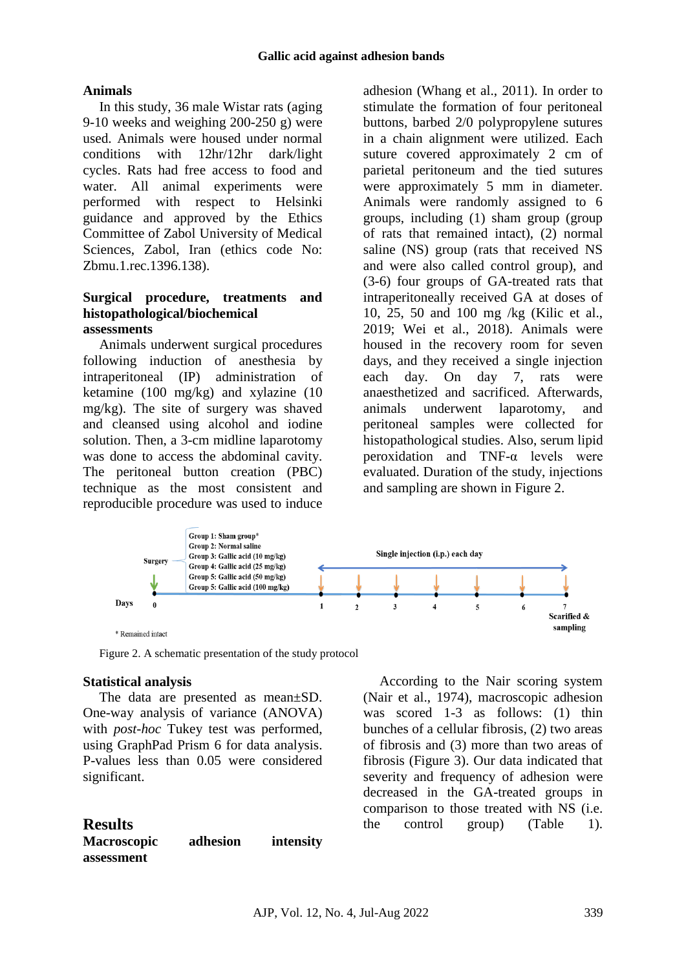### **Animals**

In this study, 36 male Wistar rats (aging 9-10 weeks and weighing 200-250 g) were used. Animals were housed under normal conditions with 12hr/12hr dark/light cycles. Rats had free access to food and water. All animal experiments were performed with respect to Helsinki guidance and approved by the Ethics Committee of Zabol University of Medical Sciences, Zabol, Iran (ethics code No: Zbmu.1.rec.1396.138).

### **Surgical procedure, treatments and histopathological/biochemical assessments**

Animals underwent surgical procedures following induction of anesthesia by intraperitoneal (IP) administration of ketamine (100 mg/kg) and xylazine (10 mg/kg). The site of surgery was shaved and cleansed using alcohol and iodine solution. Then, a 3-cm midline laparotomy was done to access the abdominal cavity. The peritoneal button creation (PBC) technique as the most consistent and reproducible procedure was used to induce

adhesion (Whang et al., 2011). In order to stimulate the formation of four peritoneal buttons, barbed 2/0 polypropylene sutures in a chain alignment were utilized. Each suture covered approximately 2 cm of parietal peritoneum and the tied sutures were approximately 5 mm in diameter. Animals were randomly assigned to 6 groups, including (1) sham group (group of rats that remained intact), (2) normal saline (NS) group (rats that received NS and were also called control group), and (3-6) four groups of GA-treated rats that intraperitoneally received GA at doses of 10, 25, 50 and 100 mg /kg (Kilic et al., 2019; Wei et al., 2018). Animals were housed in the recovery room for seven days, and they received a single injection each day. On day 7, rats were anaesthetized and sacrificed. Afterwards, animals underwent laparotomy, and peritoneal samples were collected for histopathological studies. Also, serum lipid peroxidation and TNF-α levels were evaluated. Duration of the study, injections and sampling are shown in Figure 2.



Figure 2. A schematic presentation of the study protocol

### **Statistical analysis**

The data are presented as mean±SD. One-way analysis of variance (ANOVA) with *post-hoc* Tukey test was performed, using GraphPad Prism 6 for data analysis. P-values less than 0.05 were considered significant.

| <b>Results</b>     |          |           |
|--------------------|----------|-----------|
| <b>Macroscopic</b> | adhesion | intensity |
| assessment         |          |           |

According to the Nair scoring system (Nair et al., 1974), macroscopic adhesion was scored 1-3 as follows: (1) thin bunches of a cellular fibrosis, (2) two areas of fibrosis and (3) more than two areas of fibrosis (Figure 3). Our data indicated that severity and frequency of adhesion were decreased in the GA-treated groups in comparison to those treated with NS (i.e. the control group) (Table 1).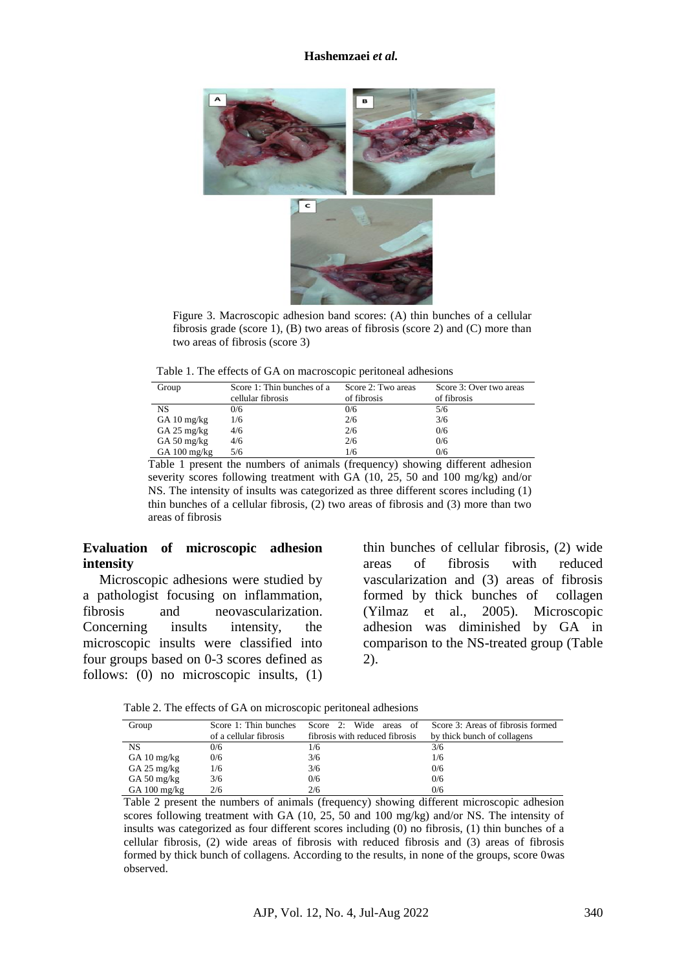#### **Hashemzaei** *et al.*



Figure 3. Macroscopic adhesion band scores: (A) thin bunches of a cellular fibrosis grade (score 1), (B) two areas of fibrosis (score 2) and (C) more than two areas of fibrosis (score 3)

Table 1. The effects of GA on macroscopic peritoneal adhesions

| Group                                | Score 1: Thin bunches of a<br>cellular fibrosis | Score 2: Two areas<br>of fibrosis | Score 3: Over two areas<br>of fibrosis |
|--------------------------------------|-------------------------------------------------|-----------------------------------|----------------------------------------|
| NS                                   | 0/6                                             | 0/6                               | 5/6                                    |
| GA $10 \text{ mg/kg}$                | 1/6                                             | 2/6                               | 3/6                                    |
| $GA 25$ mg/kg                        | 4/6                                             | 2/6                               | 0/6                                    |
| GA 50 $mg/kg$                        | 4/6                                             | 2/6                               | 0/6                                    |
| GA $100 \frac{\text{mg}}{\text{kg}}$ | 5/6                                             | 1/6                               | 0/6                                    |

Table 1 present the numbers of animals (frequency) showing different adhesion severity scores following treatment with GA (10, 25, 50 and 100 mg/kg) and/or NS. The intensity of insults was categorized as three different scores including (1) thin bunches of a cellular fibrosis, (2) two areas of fibrosis and (3) more than two areas of fibrosis

## **Evaluation of microscopic adhesion intensity**

Microscopic adhesions were studied by a pathologist focusing on inflammation, fibrosis and neovascularization. Concerning insults intensity, the microscopic insults were classified into four groups based on 0-3 scores defined as follows: (0) no microscopic insults, (1)

thin bunches of cellular fibrosis, (2) wide areas of fibrosis with reduced vascularization and (3) areas of fibrosis formed by thick bunches of collagen (Yilmaz et al., 2005). Microscopic adhesion was diminished by GA in comparison to the NS-treated group (Table 2).

Table 2. The effects of GA on microscopic peritoneal adhesions

| Group                  | Score 1: Thin bunches  | Score 2: Wide areas of         | Score 3: Areas of fibrosis formed |
|------------------------|------------------------|--------------------------------|-----------------------------------|
|                        | of a cellular fibrosis | fibrosis with reduced fibrosis | by thick bunch of collagens       |
| <b>NS</b>              | 0/6                    | 1/6                            | 3/6                               |
| GA $10 \text{ mg/kg}$  | 0/6                    | 3/6                            | 1/6                               |
| $GA 25$ mg/kg          | 1/6                    | 3/6                            | 0/6                               |
| GA 50 mg/kg            | 3/6                    | 0/6                            | 0/6                               |
| GA $100 \text{ mg/kg}$ | 2/6                    | 2/6                            | 0/6                               |

Table 2 present the numbers of animals (frequency) showing different microscopic adhesion scores following treatment with GA (10, 25, 50 and 100 mg/kg) and/or NS. The intensity of insults was categorized as four different scores including (0) no fibrosis, (1) thin bunches of a cellular fibrosis, (2) wide areas of fibrosis with reduced fibrosis and (3) areas of fibrosis formed by thick bunch of collagens. According to the results, in none of the groups, score 0was observed.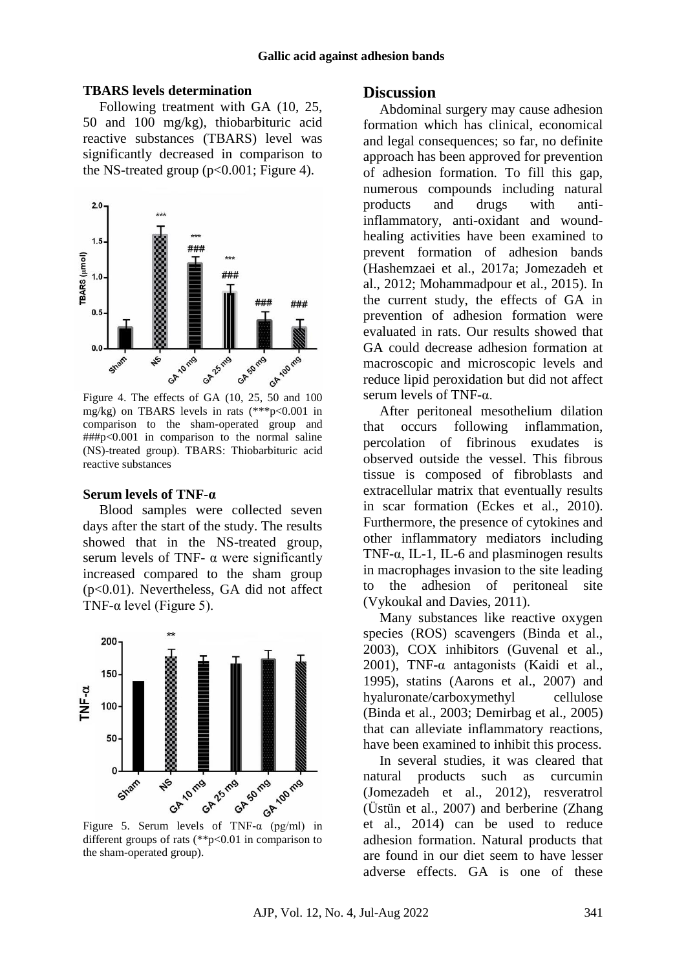#### **TBARS levels determination**

Following treatment with GA (10, 25, 50 and 100 mg/kg), thiobarbituric acid reactive substances (TBARS) level was significantly decreased in comparison to the NS-treated group  $(p<0.001$ ; Figure 4).



mg/kg) on TBARS levels in rats (\*\*\*p<0.001 in comparison to the sham-operated group and ###p<0.001 in comparison to the normal saline (NS)-treated group). TBARS: Thiobarbituric acid reactive substances

#### **Serum levels of TNF-α**

Blood samples were collected seven days after the start of the study. The results showed that in the NS-treated group, serum levels of TNF-  $\alpha$  were significantly increased compared to the sham group (p<0.01). Nevertheless, GA did not affect TNF- $\alpha$  level (Figure 5).



different groups of rats (\*\*p<0.01 in comparison to the sham-operated group).

### **Discussion**

Abdominal surgery may cause adhesion formation which has clinical, economical and legal consequences; so far, no definite approach has been approved for prevention of adhesion formation. To fill this gap, numerous compounds including natural products and drugs with antiinflammatory, anti-oxidant and woundhealing activities have been examined to prevent formation of adhesion bands (Hashemzaei et al., 2017a; Jomezadeh et al., 2012; Mohammadpour et al., 2015). In the current study, the effects of GA in prevention of adhesion formation were evaluated in rats. Our results showed that GA could decrease adhesion formation at macroscopic and microscopic levels and reduce lipid peroxidation but did not affect serum levels of TNF-α.

After peritoneal mesothelium dilation that occurs following inflammation, percolation of fibrinous exudates is observed outside the vessel. This fibrous tissue is composed of fibroblasts and extracellular matrix that eventually results in scar formation (Eckes et al., 2010). Furthermore, the presence of cytokines and other inflammatory mediators including TNF- $\alpha$ , IL-1, IL-6 and plasminogen results in macrophages invasion to the site leading to the adhesion of peritoneal site (Vykoukal and Davies, 2011).

Many substances like reactive oxygen species (ROS) scavengers (Binda et al., 2003), COX inhibitors (Guvenal et al., 2001), TNF- $\alpha$  antagonists (Kaidi et al., 1995), statins (Aarons et al., 2007) and hyaluronate/carboxymethyl cellulose (Binda et al., 2003; Demirbag et al., 2005) that can alleviate inflammatory reactions, have been examined to inhibit this process.

In several studies, it was cleared that natural products such as curcumin (Jomezadeh et al., 2012), resveratrol (Üstün et al., 2007) and berberine (Zhang et al., 2014) can be used to reduce adhesion formation. Natural products that are found in our diet seem to have lesser adverse effects. GA is one of these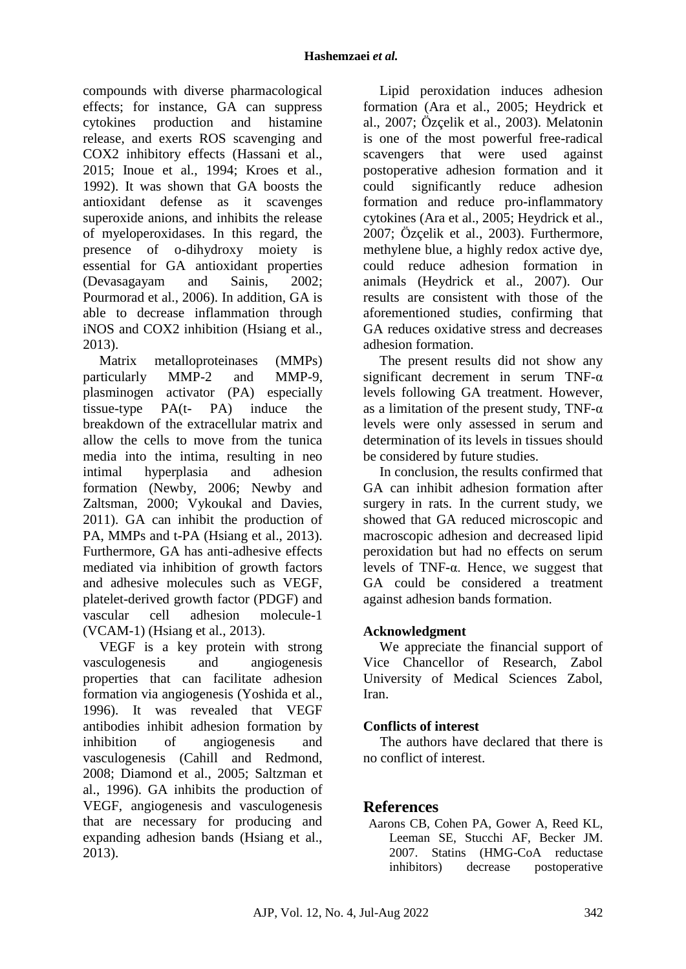compounds with diverse pharmacological effects; for instance, GA can suppress cytokines production and histamine release, and exerts ROS scavenging and COX2 inhibitory effects (Hassani et al., 2015; Inoue et al., 1994; Kroes et al., 1992). It was shown that GA boosts the antioxidant defense as it scavenges superoxide anions, and inhibits the release of myeloperoxidases. In this regard, the presence of o-dihydroxy moiety is essential for GA antioxidant properties (Devasagayam and Sainis, 2002; Pourmorad et al., 2006). In addition, GA is able to decrease inflammation through iNOS and COX2 inhibition (Hsiang et al., 2013).

Matrix metalloproteinases (MMPs) particularly MMP-2 and MMP-9, plasminogen activator (PA) especially tissue-type PA(t- PA) induce the breakdown of the extracellular matrix and allow the cells to move from the tunica media into the intima, resulting in neo intimal hyperplasia and adhesion formation (Newby, 2006; Newby and Zaltsman, 2000; Vykoukal and Davies, 2011). GA can inhibit the production of PA, MMPs and t-PA (Hsiang et al., 2013). Furthermore, GA has anti-adhesive effects mediated via inhibition of growth factors and adhesive molecules such as VEGF, platelet-derived growth factor (PDGF) and vascular cell adhesion molecule-1 (VCAM-1) (Hsiang et al., 2013).

VEGF is a key protein with strong vasculogenesis and angiogenesis properties that can facilitate adhesion formation via angiogenesis (Yoshida et al., 1996). It was revealed that VEGF antibodies inhibit adhesion formation by inhibition of angiogenesis and vasculogenesis (Cahill and Redmond, 2008; Diamond et al., 2005; Saltzman et al., 1996). GA inhibits the production of VEGF, angiogenesis and vasculogenesis that are necessary for producing and expanding adhesion bands (Hsiang et al., 2013).

Lipid peroxidation induces adhesion formation (Ara et al., 2005; Heydrick et al., 2007; Özçelik et al., 2003). Melatonin is one of the most powerful free-radical scavengers that were used against postoperative adhesion formation and it could significantly reduce adhesion formation and reduce pro-inflammatory cytokines (Ara et al., 2005; Heydrick et al., 2007; Özçelik et al., 2003). Furthermore, methylene blue, a highly redox active dye, could reduce adhesion formation in animals (Heydrick et al., 2007). Our results are consistent with those of the aforementioned studies, confirming that GA reduces oxidative stress and decreases adhesion formation.

The present results did not show any significant decrement in serum TNF- $\alpha$ levels following GA treatment. However, as a limitation of the present study, TNF- $\alpha$ levels were only assessed in serum and determination of its levels in tissues should be considered by future studies.

In conclusion, the results confirmed that GA can inhibit adhesion formation after surgery in rats. In the current study, we showed that GA reduced microscopic and macroscopic adhesion and decreased lipid peroxidation but had no effects on serum levels of TNF-α. Hence, we suggest that GA could be considered a treatment against adhesion bands formation.

## **Acknowledgment**

We appreciate the financial support of Vice Chancellor of Research, Zabol University of Medical Sciences Zabol, Iran.

## **Conflicts of interest**

The authors have declared that there is no conflict of interest.

## **References**

Aarons CB, Cohen PA, Gower A, Reed KL, Leeman SE, Stucchi AF, Becker JM. 2007. Statins (HMG-CoA reductase inhibitors) decrease postoperative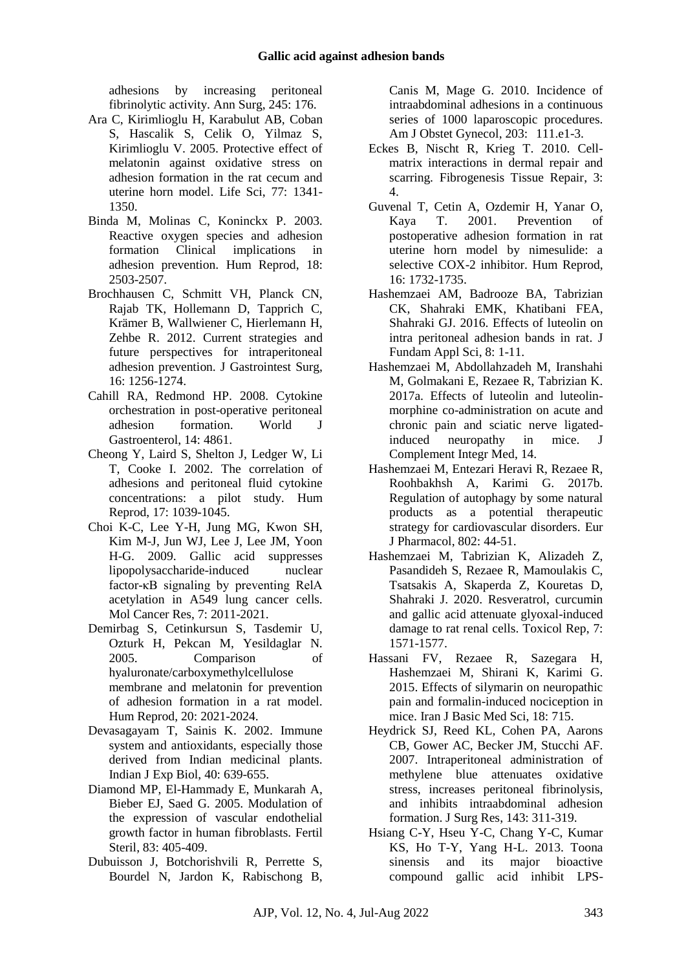adhesions by increasing peritoneal fibrinolytic activity. Ann Surg, 245: 176.

- Ara C, Kirimlioglu H, Karabulut AB, Coban S, Hascalik S, Celik O, Yilmaz S, Kirimlioglu V. 2005. Protective effect of melatonin against oxidative stress on adhesion formation in the rat cecum and uterine horn model. Life Sci, 77: 1341- 1350.
- Binda M, Molinas C, Koninckx P. 2003. Reactive oxygen species and adhesion formation Clinical implications in adhesion prevention. Hum Reprod, 18: 2503-2507.
- Brochhausen C, Schmitt VH, Planck CN, Rajab TK, Hollemann D, Tapprich C, Krämer B, Wallwiener C, Hierlemann H, Zehbe R. 2012. Current strategies and future perspectives for intraperitoneal adhesion prevention. J Gastrointest Surg, 16: 1256-1274.
- Cahill RA, Redmond HP. 2008. Cytokine orchestration in post-operative peritoneal adhesion formation. World J Gastroenterol, 14: 4861.
- Cheong Y, Laird S, Shelton J, Ledger W, Li T, Cooke I. 2002. The correlation of adhesions and peritoneal fluid cytokine concentrations: a pilot study. Hum Reprod, 17: 1039-1045.
- Choi K-C, Lee Y-H, Jung MG, Kwon SH, Kim M-J, Jun WJ, Lee J, Lee JM, Yoon H-G. 2009. Gallic acid suppresses lipopolysaccharide-induced nuclear factor-κB signaling by preventing RelA acetylation in A549 lung cancer cells. Mol Cancer Res, 7: 2011-2021.
- Demirbag S, Cetinkursun S, Tasdemir U, Ozturk H, Pekcan M, Yesildaglar N. 2005. Comparison of hyaluronate/carboxymethylcellulose membrane and melatonin for prevention of adhesion formation in a rat model. Hum Reprod, 20: 2021-2024.
- Devasagayam T, Sainis K. 2002. Immune system and antioxidants, especially those derived from Indian medicinal plants. Indian J Exp Biol, 40: 639-655.
- Diamond MP, El-Hammady E, Munkarah A, Bieber EJ, Saed G. 2005. Modulation of the expression of vascular endothelial growth factor in human fibroblasts. Fertil Steril, 83: 405-409.
- Dubuisson J, Botchorishvili R, Perrette S, Bourdel N, Jardon K, Rabischong B,

Canis M, Mage G. 2010. Incidence of intraabdominal adhesions in a continuous series of 1000 laparoscopic procedures. Am J Obstet Gynecol, 203: 111.e1-3.

- Eckes B, Nischt R, Krieg T. 2010. Cellmatrix interactions in dermal repair and scarring. Fibrogenesis Tissue Repair, 3: 4.
- Guvenal T, Cetin A, Ozdemir H, Yanar O, Kaya T. 2001. Prevention of postoperative adhesion formation in rat uterine horn model by nimesulide: a selective COX-2 inhibitor. Hum Reprod, 16: 1732-1735.
- Hashemzaei AM, Badrooze BA, Tabrizian CK, Shahraki EMK, Khatibani FEA, Shahraki GJ. 2016. Effects of luteolin on intra peritoneal adhesion bands in rat. J Fundam Appl Sci, 8: 1-11.
- Hashemzaei M, Abdollahzadeh M, Iranshahi M, Golmakani E, Rezaee R, Tabrizian K. 2017a. Effects of luteolin and luteolinmorphine co-administration on acute and chronic pain and sciatic nerve ligatedinduced neuropathy in mice. J Complement Integr Med, 14.
- Hashemzaei M, Entezari Heravi R, Rezaee R, Roohbakhsh A, Karimi G. 2017b. Regulation of autophagy by some natural products as a potential therapeutic strategy for cardiovascular disorders. Eur J Pharmacol, 802: 44-51.
- Hashemzaei M, Tabrizian K, Alizadeh Z, Pasandideh S, Rezaee R, Mamoulakis C, Tsatsakis A, Skaperda Z, Kouretas D, Shahraki J. 2020. Resveratrol, curcumin and gallic acid attenuate glyoxal-induced damage to rat renal cells. Toxicol Rep, 7: 1571-1577.
- Hassani FV, Rezaee R, Sazegara H, Hashemzaei M, Shirani K, Karimi G. 2015. Effects of silymarin on neuropathic pain and formalin-induced nociception in mice. Iran J Basic Med Sci, 18: 715.
- Heydrick SJ, Reed KL, Cohen PA, Aarons CB, Gower AC, Becker JM, Stucchi AF. 2007. Intraperitoneal administration of methylene blue attenuates oxidative stress, increases peritoneal fibrinolysis, and inhibits intraabdominal adhesion formation. J Surg Res, 143: 311-319.
- Hsiang C-Y, Hseu Y-C, Chang Y-C, Kumar KS, Ho T-Y, Yang H-L. 2013. Toona sinensis and its major bioactive compound gallic acid inhibit LPS-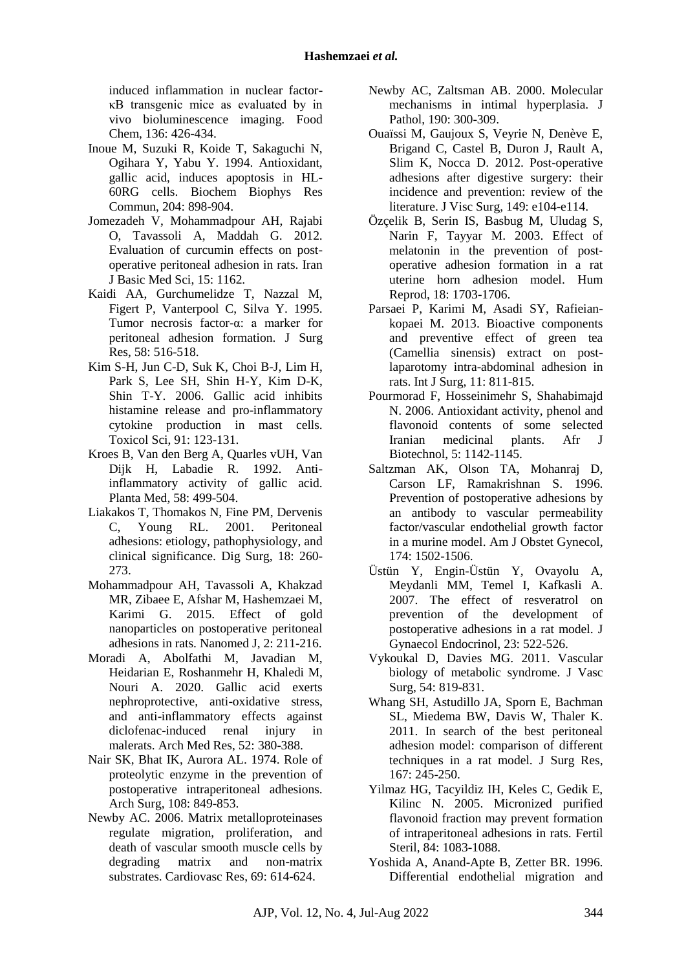induced inflammation in nuclear factorκB transgenic mice as evaluated by in vivo bioluminescence imaging. Food Chem, 136: 426-434.

- Inoue M, Suzuki R, Koide T, Sakaguchi N, Ogihara Y, Yabu Y. 1994. Antioxidant, gallic acid, induces apoptosis in HL-60RG cells. Biochem Biophys Res Commun, 204: 898-904.
- Jomezadeh V, Mohammadpour AH, Rajabi O, Tavassoli A, Maddah G. 2012. Evaluation of curcumin effects on postoperative peritoneal adhesion in rats. Iran J Basic Med Sci, 15: 1162.
- Kaidi AA, Gurchumelidze T, Nazzal M, Figert P, Vanterpool C, Silva Y. 1995. Tumor necrosis factor-α: a marker for peritoneal adhesion formation. J Surg Res, 58: 516-518.
- Kim S-H, Jun C-D, Suk K, Choi B-J, Lim H, Park S, Lee SH, Shin H-Y, Kim D-K, Shin T-Y. 2006. Gallic acid inhibits histamine release and pro-inflammatory cytokine production in mast cells. Toxicol Sci, 91: 123-131.
- Kroes B, Van den Berg A, Quarles vUH, Van Dijk H, Labadie R. 1992. Antiinflammatory activity of gallic acid. Planta Med, 58: 499-504.
- Liakakos T, Thomakos N, Fine PM, Dervenis C, Young RL. 2001. Peritoneal adhesions: etiology, pathophysiology, and clinical significance. Dig Surg, 18: 260- 273.
- Mohammadpour AH, Tavassoli A, Khakzad MR, Zibaee E, Afshar M, Hashemzaei M, Karimi G. 2015. Effect of gold nanoparticles on postoperative peritoneal adhesions in rats. Nanomed J, 2: 211-216.
- Moradi A, Abolfathi M, Javadian M, Heidarian E, Roshanmehr H, Khaledi M, Nouri A. 2020. Gallic acid exerts nephroprotective, anti-oxidative stress, and anti-inflammatory effects against diclofenac-induced renal injury in malerats. Arch Med Res, 52: 380-388.
- Nair SK, Bhat IK, Aurora AL. 1974. Role of proteolytic enzyme in the prevention of postoperative intraperitoneal adhesions. Arch Surg, 108: 849-853.
- Newby AC. 2006. Matrix metalloproteinases regulate migration, proliferation, and death of vascular smooth muscle cells by degrading matrix and non-matrix substrates. Cardiovasc Res, 69: 614-624.
- Newby AC, Zaltsman AB. 2000. Molecular mechanisms in intimal hyperplasia. J Pathol, 190: 300-309.
- Ouaïssi M, Gaujoux S, Veyrie N, Denève E, Brigand C, Castel B, Duron J, Rault A, Slim K, Nocca D. 2012. Post-operative adhesions after digestive surgery: their incidence and prevention: review of the literature. J Visc Surg, 149: e104-e114.
- Özçelik B, Serin IS, Basbug M, Uludag S, Narin F, Tayyar M. 2003. Effect of melatonin in the prevention of postoperative adhesion formation in a rat uterine horn adhesion model. Hum Reprod, 18: 1703-1706.
- Parsaei P, Karimi M, Asadi SY, Rafieiankopaei M. 2013. Bioactive components and preventive effect of green tea (Camellia sinensis) extract on postlaparotomy intra-abdominal adhesion in rats. Int J Surg, 11: 811-815.
- Pourmorad F, Hosseinimehr S, Shahabimajd N. 2006. Antioxidant activity, phenol and flavonoid contents of some selected<br>Iranian medicinal plants. Afr J Iranian medicinal plants. Afr J Biotechnol, 5: 1142-1145.
- Saltzman AK, Olson TA, Mohanraj D, Carson LF, Ramakrishnan S. 1996. Prevention of postoperative adhesions by an antibody to vascular permeability factor/vascular endothelial growth factor in a murine model. Am J Obstet Gynecol, 174: 1502-1506.
- Üstün Y, Engin-Üstün Y, Ovayolu A, Meydanli MM, Temel I, Kafkasli A. 2007. The effect of resveratrol on prevention of the development of postoperative adhesions in a rat model. J Gynaecol Endocrinol, 23: 522-526.
- Vykoukal D, Davies MG. 2011. Vascular biology of metabolic syndrome. J Vasc Surg, 54: 819-831.
- Whang SH, Astudillo JA, Sporn E, Bachman SL, Miedema BW, Davis W, Thaler K. 2011. In search of the best peritoneal adhesion model: comparison of different techniques in a rat model. J Surg Res, 167: 245-250.
- Yilmaz HG, Tacyildiz IH, Keles C, Gedik E, Kilinc N. 2005. Micronized purified flavonoid fraction may prevent formation of intraperitoneal adhesions in rats. Fertil Steril, 84: 1083-1088.
- Yoshida A, Anand-Apte B, Zetter BR. 1996. Differential endothelial migration and